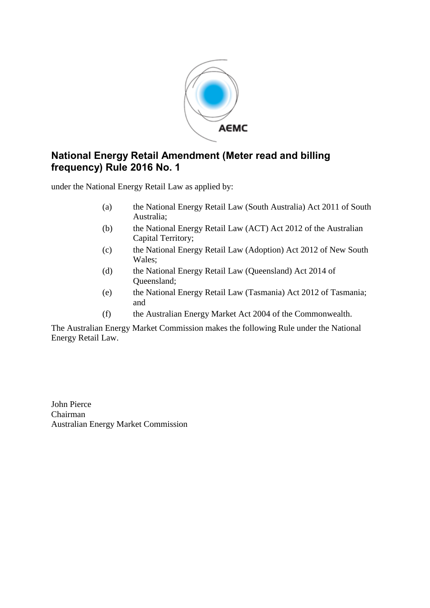

### **National Energy Retail Amendment (Meter read and billing frequency) Rule 2016 No. 1**

under the National Energy Retail Law as applied by:

- (a) the National Energy Retail Law (South Australia) Act 2011 of South Australia;
- (b) the National Energy Retail Law (ACT) Act 2012 of the Australian Capital Territory;
- (c) the National Energy Retail Law (Adoption) Act 2012 of New South Wales;
- (d) the National Energy Retail Law (Queensland) Act 2014 of Queensland;
- (e) the National Energy Retail Law (Tasmania) Act 2012 of Tasmania; and
- (f) the Australian Energy Market Act 2004 of the Commonwealth.

The Australian Energy Market Commission makes the following Rule under the National Energy Retail Law.

John Pierce Chairman Australian Energy Market Commission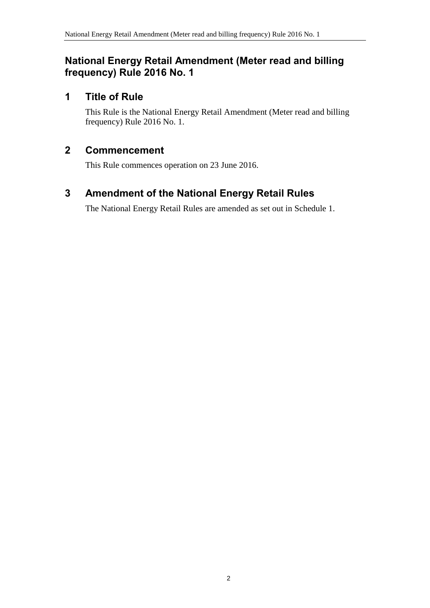#### **National Energy Retail Amendment (Meter read and billing frequency) Rule 2016 No. 1**

## **1 Title of Rule**

This Rule is the National Energy Retail Amendment (Meter read and billing frequency) Rule 2016 No. 1.

## **2 Commencement**

This Rule commences operation on 23 June 2016.

## <span id="page-1-0"></span>**3 Amendment of the National Energy Retail Rules**

The National Energy Retail Rules are amended as set out in [Schedule 1.](#page-2-0)